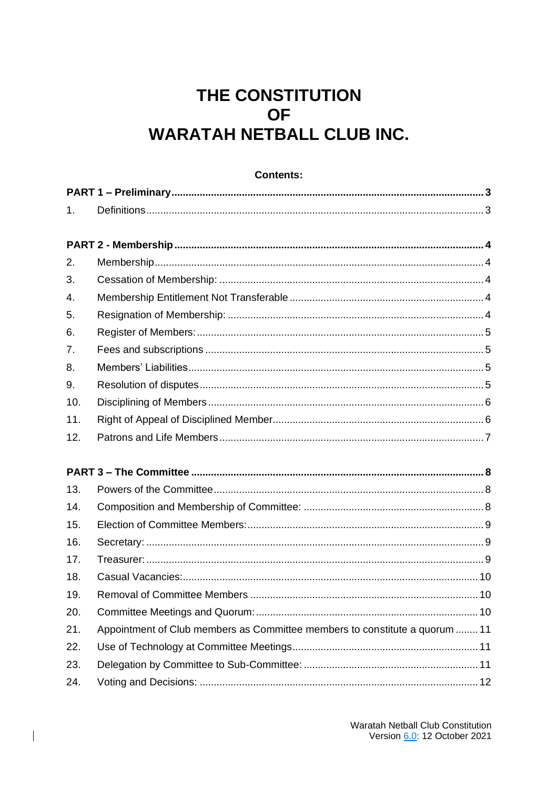# THE CONSTITUTION **OF WARATAH NETBALL CLUB INC.**

| 1.               |                                                                             |
|------------------|-----------------------------------------------------------------------------|
|                  |                                                                             |
|                  |                                                                             |
| 2.               |                                                                             |
| 3.               |                                                                             |
| $\overline{4}$ . |                                                                             |
| 5.               |                                                                             |
| 6.               |                                                                             |
| 7.               |                                                                             |
| 8.               |                                                                             |
| 9.               |                                                                             |
| 10.              |                                                                             |
| 11.              |                                                                             |
| 12.              |                                                                             |
|                  |                                                                             |
|                  |                                                                             |
| 13.              |                                                                             |
| 14.              |                                                                             |
| 15.              |                                                                             |
| 16.              |                                                                             |
| 17.              |                                                                             |
| 18.              |                                                                             |
| 19.              |                                                                             |
| 20.              |                                                                             |
| 21.              | Appointment of Club members as Committee members to constitute a quorum  11 |
| 22.              |                                                                             |
| 23.              |                                                                             |
| 24.              |                                                                             |

 $\overline{\phantom{a}}$ 

### Contents: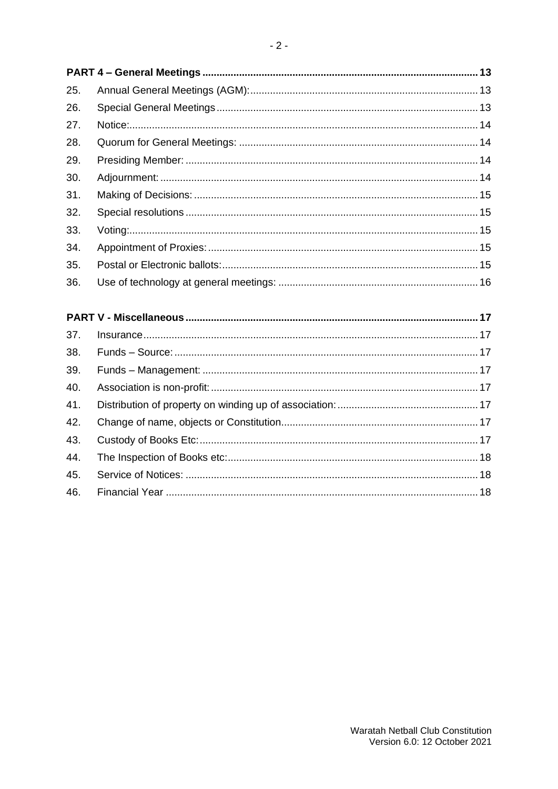| 25. |  |
|-----|--|
| 26. |  |
| 27. |  |
| 28. |  |
| 29. |  |
| 30. |  |
| 31. |  |
| 32. |  |
| 33. |  |
| 34. |  |
| 35. |  |
| 36. |  |
|     |  |
|     |  |
| 37. |  |
| 38. |  |
|     |  |
| 39. |  |
| 40. |  |
| 41. |  |
| 42. |  |
| 43. |  |
| 44. |  |
| 45. |  |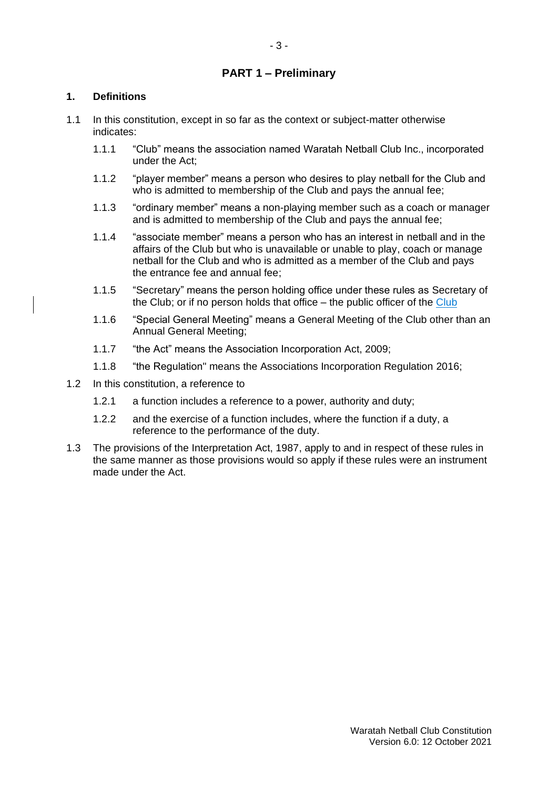# **PART 1 – Preliminary**

# **1. Definitions**

- 1.1 In this constitution, except in so far as the context or subject-matter otherwise indicates:
	- 1.1.1 "Club" means the association named Waratah Netball Club Inc., incorporated under the Act;
	- 1.1.2 "player member" means a person who desires to play netball for the Club and who is admitted to membership of the Club and pays the annual fee;
	- 1.1.3 "ordinary member" means a non-playing member such as a coach or manager and is admitted to membership of the Club and pays the annual fee;
	- 1.1.4 "associate member" means a person who has an interest in netball and in the affairs of the Club but who is unavailable or unable to play, coach or manage netball for the Club and who is admitted as a member of the Club and pays the entrance fee and annual fee;
	- 1.1.5 "Secretary" means the person holding office under these rules as Secretary of the Club; or if no person holds that office – the public officer of the Club
	- 1.1.6 "Special General Meeting" means a General Meeting of the Club other than an Annual General Meeting;
	- 1.1.7 "the Act" means the Association Incorporation Act, 2009;
	- 1.1.8 "the Regulation" means the Associations Incorporation Regulation 2016;
- 1.2 In this constitution, a reference to
	- 1.2.1 a function includes a reference to a power, authority and duty;
	- 1.2.2 and the exercise of a function includes, where the function if a duty, a reference to the performance of the duty.
- 1.3 The provisions of the Interpretation Act, 1987, apply to and in respect of these rules in the same manner as those provisions would so apply if these rules were an instrument made under the Act.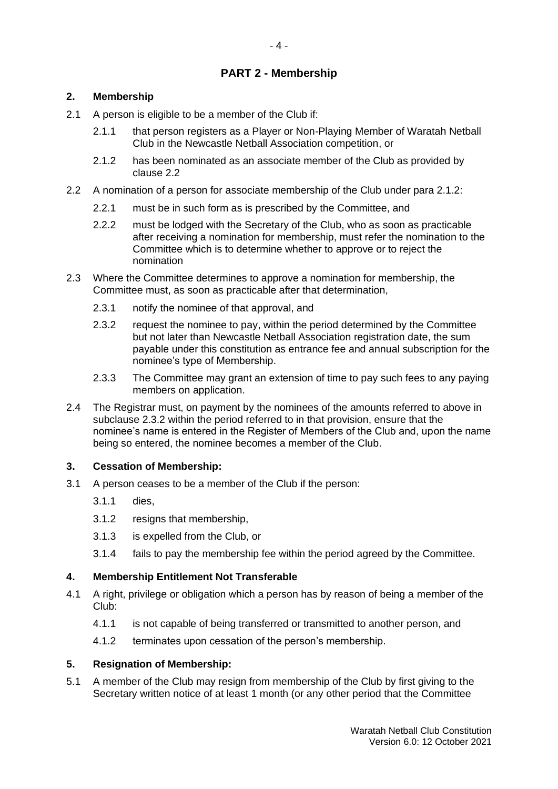# **PART 2 - Membership**

# **2. Membership**

- 2.1 A person is eligible to be a member of the Club if:
	- 2.1.1 that person registers as a Player or Non-Playing Member of Waratah Netball Club in the Newcastle Netball Association competition, or
	- 2.1.2 has been nominated as an associate member of the Club as provided by clause 2.2
- 2.2 A nomination of a person for associate membership of the Club under para 2.1.2:
	- 2.2.1 must be in such form as is prescribed by the Committee, and
	- 2.2.2 must be lodged with the Secretary of the Club, who as soon as practicable after receiving a nomination for membership, must refer the nomination to the Committee which is to determine whether to approve or to reject the nomination
- 2.3 Where the Committee determines to approve a nomination for membership, the Committee must, as soon as practicable after that determination,
	- 2.3.1 notify the nominee of that approval, and
	- 2.3.2 request the nominee to pay, within the period determined by the Committee but not later than Newcastle Netball Association registration date, the sum payable under this constitution as entrance fee and annual subscription for the nominee's type of Membership.
	- 2.3.3 The Committee may grant an extension of time to pay such fees to any paying members on application.
- 2.4 The Registrar must, on payment by the nominees of the amounts referred to above in subclause 2.3.2 within the period referred to in that provision, ensure that the nominee's name is entered in the Register of Members of the Club and, upon the name being so entered, the nominee becomes a member of the Club.

### **3. Cessation of Membership:**

- 3.1 A person ceases to be a member of the Club if the person:
	- 3.1.1 dies,
	- 3.1.2 resigns that membership,
	- 3.1.3 is expelled from the Club, or
	- 3.1.4 fails to pay the membership fee within the period agreed by the Committee.

### **4. Membership Entitlement Not Transferable**

- 4.1 A right, privilege or obligation which a person has by reason of being a member of the Club:
	- 4.1.1 is not capable of being transferred or transmitted to another person, and
	- 4.1.2 terminates upon cessation of the person's membership.

### **5. Resignation of Membership:**

5.1 A member of the Club may resign from membership of the Club by first giving to the Secretary written notice of at least 1 month (or any other period that the Committee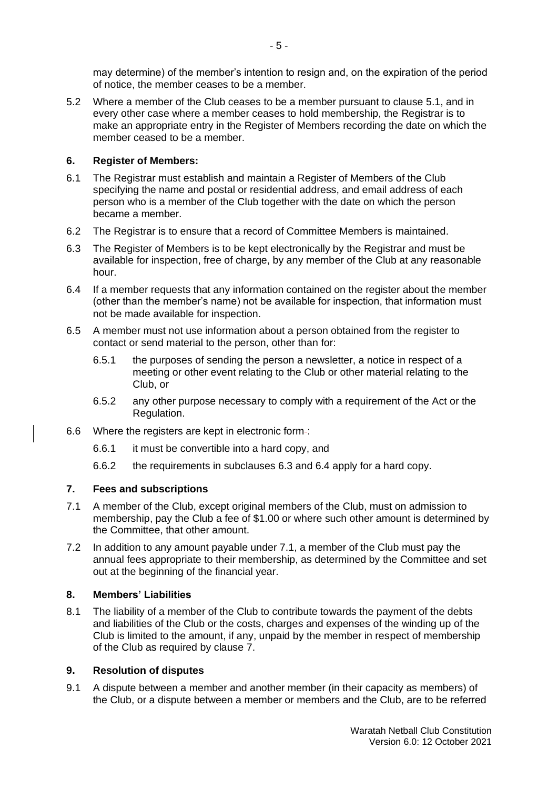may determine) of the member's intention to resign and, on the expiration of the period of notice, the member ceases to be a member.

5.2 Where a member of the Club ceases to be a member pursuant to clause 5.1, and in every other case where a member ceases to hold membership, the Registrar is to make an appropriate entry in the Register of Members recording the date on which the member ceased to be a member.

# **6. Register of Members:**

- 6.1 The Registrar must establish and maintain a Register of Members of the Club specifying the name and postal or residential address, and email address of each person who is a member of the Club together with the date on which the person became a member.
- 6.2 The Registrar is to ensure that a record of Committee Members is maintained.
- 6.3 The Register of Members is to be kept electronically by the Registrar and must be available for inspection, free of charge, by any member of the Club at any reasonable hour.
- 6.4 If a member requests that any information contained on the register about the member (other than the member's name) not be available for inspection, that information must not be made available for inspection.
- 6.5 A member must not use information about a person obtained from the register to contact or send material to the person, other than for:
	- 6.5.1 the purposes of sending the person a newsletter, a notice in respect of a meeting or other event relating to the Club or other material relating to the Club, or
	- 6.5.2 any other purpose necessary to comply with a requirement of [the Act](http://www.austlii.edu.au/au/legis/nsw/consol_act/aia2009307/) or the Regulation.
- 6.6 Where the registers are kept in electronic form-:
	- 6.6.1 it must be convertible into a hard copy, and
	- 6.6.2 the requirements in subclauses 6.3 and 6.4 apply for a hard copy.

# **7. Fees and subscriptions**

- 7.1 A member of the Club, except original members of the Club, must on admission to membership, pay the Club a fee of \$1.00 or where such other amount is determined by the Committee, that other amount.
- 7.2 In addition to any amount payable under 7.1, a member of the Club must pay the annual fees appropriate to their membership, as determined by the Committee and set out at the beginning of the financial year.

### **8. Members' Liabilities**

8.1 The liability of a member of the Club to contribute towards the payment of the debts and liabilities of the Club or the costs, charges and expenses of the winding up of the Club is limited to the amount, if any, unpaid by the member in respect of membership of the Club as required by clause 7.

### **9. Resolution of disputes**

9.1 A dispute between a member and another member (in their capacity as members) of the Club, or a dispute between a member or members and the Club, are to be referred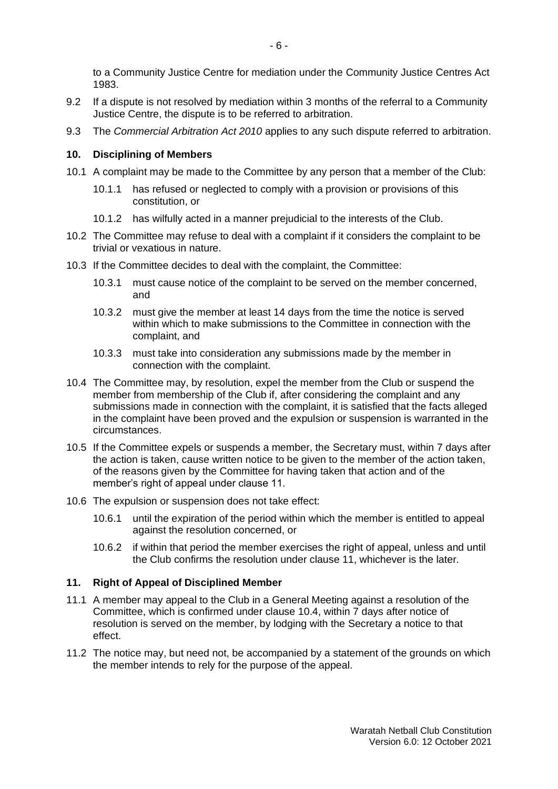to a Community Justice Centre for mediation under the [Community Justice Centres Act](http://www.austlii.edu.au/au/legis/nsw/consol_act/cjca1983302/) [1983.](http://www.austlii.edu.au/au/legis/nsw/consol_act/cjca1983302/)

- 9.2 If a dispute is not resolved by mediation within 3 months of the referral to a Community Justice Centre, the dispute is to be referred to arbitration.
- 9.3 The *Commercial Arbitration Act 2010* applies to any such dispute referred to arbitration.

### **10. Disciplining of Members**

- 10.1 A complaint may be made to the Committee by any person that a member of the Club:
	- 10.1.1 has refused or neglected to comply with a provision or provisions of this constitution, or
	- 10.1.2 has wilfully acted in a manner prejudicial to the interests of the Club.
- 10.2 The Committee may refuse to deal with a complaint if it considers the complaint to be trivial or vexatious in nature.
- 10.3 If the Committee decides to deal with the complaint, the Committee:
	- 10.3.1 must cause notice of the complaint to be served on the member concerned, and
	- 10.3.2 must give the member at least 14 days from the time the notice is served within which to make submissions to the Committee in connection with the complaint, and
	- 10.3.3 must take into consideration any submissions made by the member in connection with the complaint.
- 10.4 The Committee may, by resolution, expel the member from the Club or suspend the member from membership of the Club if, after considering the complaint and any submissions made in connection with the complaint, it is satisfied that the facts alleged in the complaint have been proved and the expulsion or suspension is warranted in the circumstances.
- 10.5 If the Committee expels or suspends a member, the Secretary must, within 7 days after the action is taken, cause written notice to be given to the member of the action taken, of the reasons given by the Committee for having taken that action and of the member's right of appeal under clause 11.
- 10.6 The expulsion or suspension does not take effect:
	- 10.6.1 until the expiration of the period within which the member is entitled to appeal against the resolution concerned, or
	- 10.6.2 if within that period the member exercises the right of appeal, unless and until the Club confirms the resolution under clause 11, whichever is the later.

### **11. Right of Appeal of Disciplined Member**

- 11.1 A member may appeal to the Club in a General Meeting against a resolution of the Committee, which is confirmed under clause 10.4, within 7 days after notice of resolution is served on the member, by lodging with the Secretary a notice to that effect.
- 11.2 The notice may, but need not, be accompanied by a statement of the grounds on which the member intends to rely for the purpose of the appeal.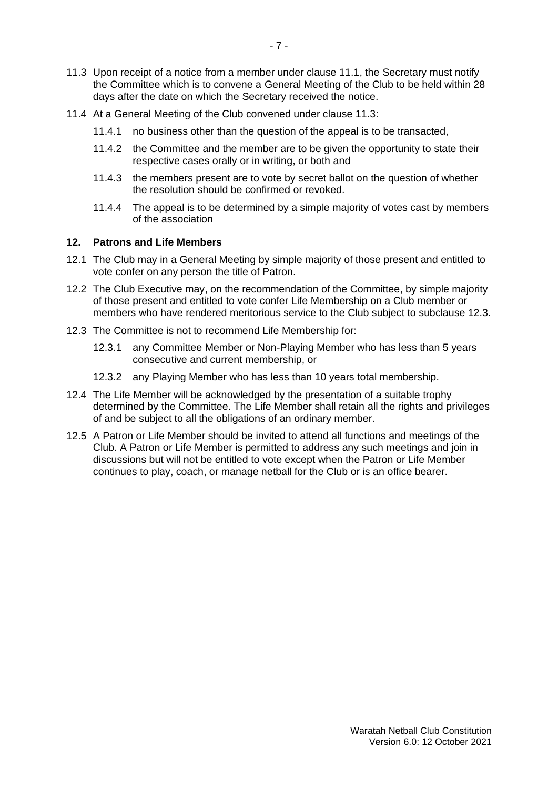- 11.3 Upon receipt of a notice from a member under clause 11.1, the Secretary must notify the Committee which is to convene a General Meeting of the Club to be held within 28 days after the date on which the Secretary received the notice.
- 11.4 At a General Meeting of the Club convened under clause 11.3:
	- 11.4.1 no business other than the question of the appeal is to be transacted,
	- 11.4.2 the Committee and the member are to be given the opportunity to state their respective cases orally or in writing, or both and
	- 11.4.3 the members present are to vote by secret ballot on the question of whether the resolution should be confirmed or revoked.
	- 11.4.4 The appeal is to be determined by a simple majority of votes cast by members of the association

### **12. Patrons and Life Members**

- 12.1 The Club may in a General Meeting by simple majority of those present and entitled to vote confer on any person the title of Patron.
- 12.2 The Club Executive may, on the recommendation of the Committee, by simple majority of those present and entitled to vote confer Life Membership on a Club member or members who have rendered meritorious service to the Club subject to subclause 12.3.
- 12.3 The Committee is not to recommend Life Membership for:
	- 12.3.1 any Committee Member or Non-Playing Member who has less than 5 years consecutive and current membership, or
	- 12.3.2 any Playing Member who has less than 10 years total membership.
- 12.4 The Life Member will be acknowledged by the presentation of a suitable trophy determined by the Committee. The Life Member shall retain all the rights and privileges of and be subject to all the obligations of an ordinary member.
- 12.5 A Patron or Life Member should be invited to attend all functions and meetings of the Club. A Patron or Life Member is permitted to address any such meetings and join in discussions but will not be entitled to vote except when the Patron or Life Member continues to play, coach, or manage netball for the Club or is an office bearer.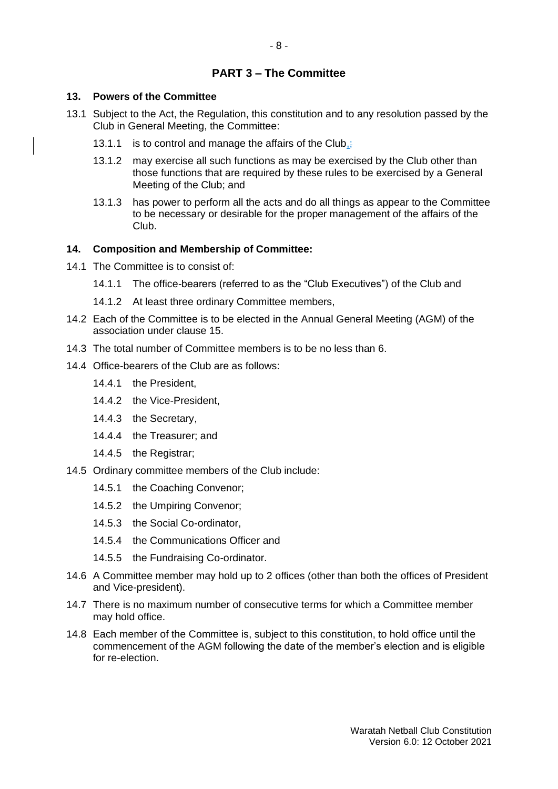# **PART 3 – The Committee**

# **13. Powers of the Committee**

- 13.1 Subject to the Act, the Regulation, this constitution and to any resolution passed by the Club in General Meeting, the Committee:
	- 13.1.1 is to control and manage the affairs of the Club,
	- 13.1.2 may exercise all such functions as may be exercised by the Club other than those functions that are required by these rules to be exercised by a General Meeting of the Club; and
	- 13.1.3 has power to perform all the acts and do all things as appear to the Committee to be necessary or desirable for the proper management of the affairs of the Club.

# **14. Composition and Membership of Committee:**

- 14.1 The Committee is to consist of:
	- 14.1.1 The office-bearers (referred to as the "Club Executives") of the Club and
	- 14.1.2 At least three ordinary Committee members,
- 14.2 Each of the Committee is to be elected in the Annual General Meeting (AGM) of the association under clause 15.
- 14.3 The total number of Committee members is to be no less than 6.
- 14.4 Office-bearers of the Club are as follows:
	- 14.4.1 the President,
	- 14.4.2 the Vice-President,
	- 14.4.3 the Secretary,
	- 14.4.4 the Treasurer; and
	- 14.4.5 the Registrar;
- 14.5 Ordinary committee members of the Club include:
	- 14.5.1 the Coaching Convenor;
	- 14.5.2 the Umpiring Convenor;
	- 14.5.3 the Social Co-ordinator,
	- 14.5.4 the Communications Officer and
	- 14.5.5 the Fundraising Co-ordinator.
- 14.6 A Committee member may hold up to 2 offices (other than both the offices of President and Vice-president).
- 14.7 There is no maximum number of consecutive terms for which a Committee member may hold office.
- 14.8 Each member of the Committee is, subject to this constitution, to hold office until the commencement of the AGM following the date of the member's election and is eligible for re-election.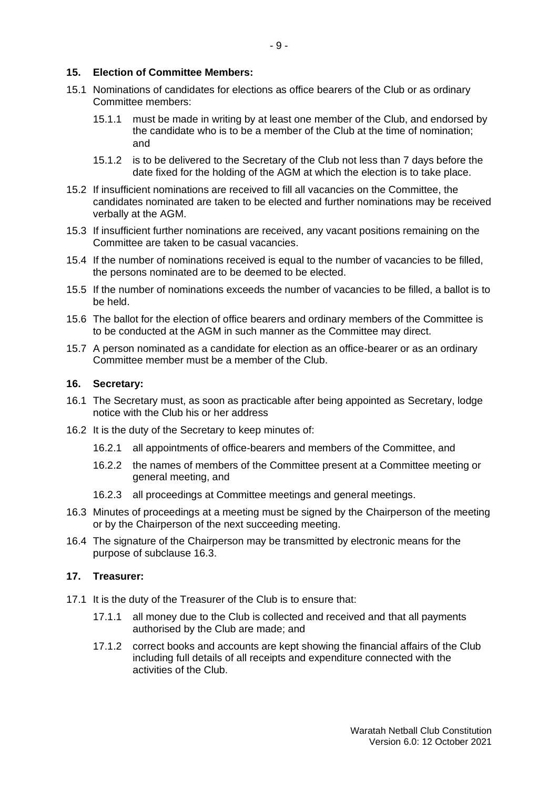### **15. Election of Committee Members:**

- 15.1 Nominations of candidates for elections as office bearers of the Club or as ordinary Committee members:
	- 15.1.1 must be made in writing by at least one member of the Club, and endorsed by the candidate who is to be a member of the Club at the time of nomination; and
	- 15.1.2 is to be delivered to the Secretary of the Club not less than 7 days before the date fixed for the holding of the AGM at which the election is to take place.
- 15.2 If insufficient nominations are received to fill all vacancies on the Committee, the candidates nominated are taken to be elected and further nominations may be received verbally at the AGM.
- 15.3 If insufficient further nominations are received, any vacant positions remaining on the Committee are taken to be casual vacancies.
- 15.4 If the number of nominations received is equal to the number of vacancies to be filled, the persons nominated are to be deemed to be elected.
- 15.5 If the number of nominations exceeds the number of vacancies to be filled, a ballot is to be held.
- 15.6 The ballot for the election of office bearers and ordinary members of the Committee is to be conducted at the AGM in such manner as the Committee may direct.
- 15.7 A person nominated as a candidate for election as an office-bearer or as an ordinary Committee member must be a member of the Club.

### **16. Secretary:**

- 16.1 The Secretary must, as soon as practicable after being appointed as Secretary, lodge notice with the Club his or her address
- 16.2 It is the duty of the Secretary to keep minutes of:
	- 16.2.1 all appointments of office-bearers and members of the Committee, and
	- 16.2.2 the names of members of the Committee present at a Committee meeting or general meeting, and
	- 16.2.3 all proceedings at Committee meetings and general meetings.
- 16.3 Minutes of proceedings at a meeting must be signed by the Chairperson of the meeting or by the Chairperson of the next succeeding meeting.
- 16.4 The signature of the Chairperson may be transmitted by electronic means for the purpose of subclause 16.3.

### **17. Treasurer:**

- 17.1 It is the duty of the Treasurer of the Club is to ensure that:
	- 17.1.1 all money due to the Club is collected and received and that all payments authorised by the Club are made; and
	- 17.1.2 correct books and accounts are kept showing the financial affairs of the Club including full details of all receipts and expenditure connected with the activities of the Club.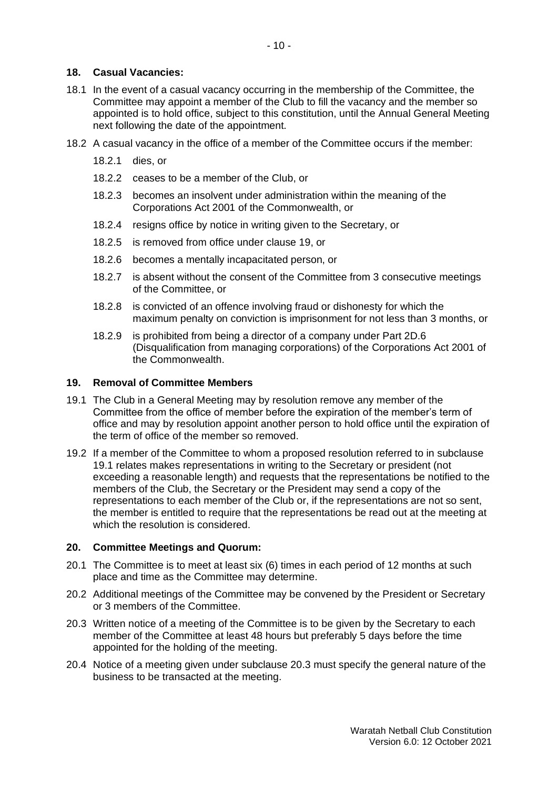### **18. Casual Vacancies:**

- 18.1 In the event of a casual vacancy occurring in the membership of the Committee, the Committee may appoint a member of the Club to fill the vacancy and the member so appointed is to hold office, subject to this constitution, until the Annual General Meeting next following the date of the appointment.
- 18.2 A casual vacancy in the office of a member of the Committee occurs if the member:
	- 18.2.1 dies, or
	- 18.2.2 ceases to be a member of the Club, or
	- 18.2.3 becomes an insolvent under administration within the meaning of the [Corporations Act 2001](http://www.austlii.edu.au/au/legis/cth/consol_act/ca2001172/) of the Commonwealth, or
	- 18.2.4 resigns office by notice in writing given to the Secretary, or
	- 18.2.5 is removed from office under [clause](http://www.austlii.edu.au/au/legis/nsw/consol_reg/air2010398/s4.html#clause) 19, or
	- 18.2.6 becomes a mentally incapacitated person, or
	- 18.2.7 is absent without the consent of the Committee from 3 consecutive meetings of the Committee, or
	- 18.2.8 is convicted of an offence involving fraud or dishonesty for which the maximum penalty on conviction is imprisonment for not less than 3 months, or
	- 18.2.9 is prohibited from being a director of a company under Part 2D.6 (Disqualification from managing corporations) of the [Corporations Act](http://www.austlii.edu.au/au/legis/cth/consol_act/ca2001172/) [2001](http://www.austlii.edu.au/au/legis/cth/consol_act/ca2001172/) of the Commonwealth.

### **19. Removal of Committee Members**

- 19.1 The Club in a General Meeting may by resolution remove any member of the Committee from the office of member before the expiration of the member's term of office and may by resolution appoint another person to hold office until the expiration of the term of office of the member so removed.
- 19.2 If a member of the Committee to whom a proposed resolution referred to in subclause 19.1 relates makes representations in writing to the Secretary or president (not exceeding a reasonable length) and requests that the representations be notified to the members of the Club, the Secretary or the President may send a copy of the representations to each member of the Club or, if the representations are not so sent, the member is entitled to require that the representations be read out at the meeting at which the resolution is considered.

### **20. Committee Meetings and Quorum:**

- 20.1 The Committee is to meet at least six (6) times in each period of 12 months at such place and time as the Committee may determine.
- 20.2 Additional meetings of the Committee may be convened by the President or Secretary or 3 members of the Committee.
- 20.3 Written notice of a meeting of the Committee is to be given by the Secretary to each member of the Committee at least 48 hours but preferably 5 days before the time appointed for the holding of the meeting.
- 20.4 Notice of a meeting given under subclause 20.3 must specify the general nature of the business to be transacted at the meeting.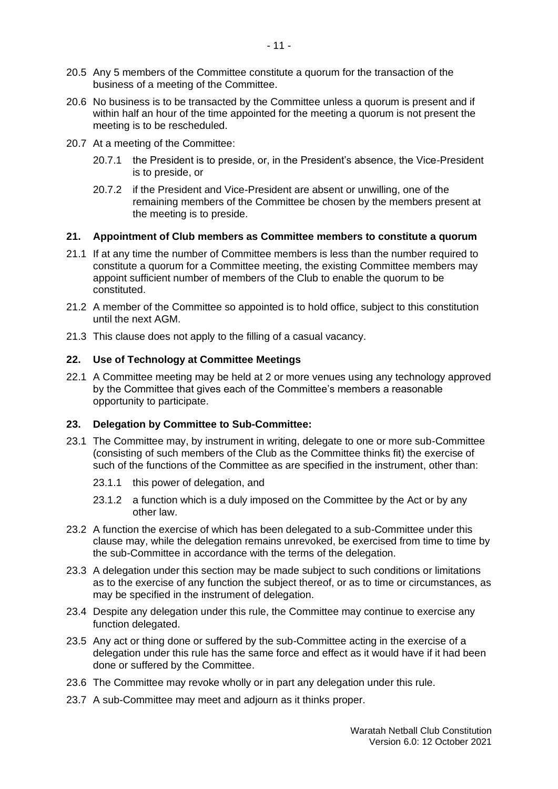- 20.5 Any 5 members of the Committee constitute a quorum for the transaction of the business of a meeting of the Committee.
- 20.6 No business is to be transacted by the Committee unless a quorum is present and if within half an hour of the time appointed for the meeting a quorum is not present the meeting is to be rescheduled.
- 20.7 At a meeting of the Committee:
	- 20.7.1 the President is to preside, or, in the President's absence, the Vice-President is to preside, or
	- 20.7.2 if the President and Vice-President are absent or unwilling, one of the remaining members of the Committee be chosen by the members present at the meeting is to preside.

### **21. Appointment of Club members as Committee members to constitute a quorum**

- 21.1 If at any time the number of Committee members is less than the number required to constitute a quorum for a Committee meeting, the existing Committee members may appoint sufficient number of members of the Club to enable the quorum to be constituted.
- 21.2 A member of the Committee so appointed is to hold office, subject to this constitution until the next AGM.
- 21.3 This clause does not apply to the filling of a casual vacancy.

### **22. Use of Technology at Committee Meetings**

22.1 A Committee meeting may be held at 2 or more venues using any technology approved by the Committee that gives each of the Committee's members a reasonable opportunity to participate.

### **23. Delegation by Committee to Sub-Committee:**

- 23.1 The Committee may, by instrument in writing, delegate to one or more sub-Committee (consisting of such members of the Club as the Committee thinks fit) the exercise of such of the functions of the Committee as are specified in the instrument, other than:
	- 23.1.1 this power of delegation, and
	- 23.1.2 a function which is a duly imposed on the Committee by the Act or by any other law.
- 23.2 A function the exercise of which has been delegated to a sub-Committee under this clause may, while the delegation remains unrevoked, be exercised from time to time by the sub-Committee in accordance with the terms of the delegation.
- 23.3 A delegation under this section may be made subject to such conditions or limitations as to the exercise of any function the subject thereof, or as to time or circumstances, as may be specified in the instrument of delegation.
- 23.4 Despite any delegation under this rule, the Committee may continue to exercise any function delegated.
- 23.5 Any act or thing done or suffered by the sub-Committee acting in the exercise of a delegation under this rule has the same force and effect as it would have if it had been done or suffered by the Committee.
- 23.6 The Committee may revoke wholly or in part any delegation under this rule.
- 23.7 A sub-Committee may meet and adjourn as it thinks proper.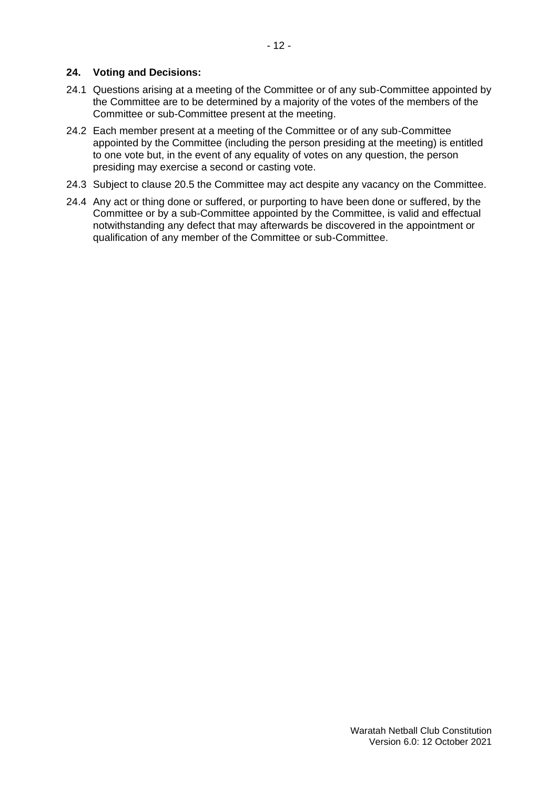- 24.1 Questions arising at a meeting of the Committee or of any sub-Committee appointed by the Committee are to be determined by a majority of the votes of the members of the Committee or sub-Committee present at the meeting.
- 24.2 Each member present at a meeting of the Committee or of any sub-Committee appointed by the Committee (including the person presiding at the meeting) is entitled to one vote but, in the event of any equality of votes on any question, the person presiding may exercise a second or casting vote.
- 24.3 Subject to clause 20.5 the Committee may act despite any vacancy on the Committee.
- 24.4 Any act or thing done or suffered, or purporting to have been done or suffered, by the Committee or by a sub-Committee appointed by the Committee, is valid and effectual notwithstanding any defect that may afterwards be discovered in the appointment or qualification of any member of the Committee or sub-Committee.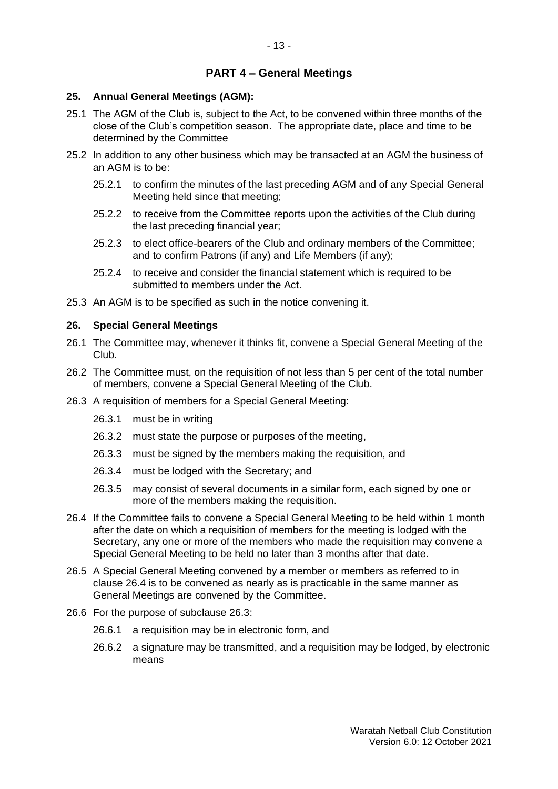# **PART 4 – General Meetings**

### **25. Annual General Meetings (AGM):**

- 25.1 The AGM of the Club is, subject to the Act, to be convened within three months of the close of the Club's competition season. The appropriate date, place and time to be determined by the Committee
- 25.2 In addition to any other business which may be transacted at an AGM the business of an AGM is to be:
	- 25.2.1 to confirm the minutes of the last preceding AGM and of any Special General Meeting held since that meeting;
	- 25.2.2 to receive from the Committee reports upon the activities of the Club during the last preceding financial year;
	- 25.2.3 to elect office-bearers of the Club and ordinary members of the Committee; and to confirm Patrons (if any) and Life Members (if any);
	- 25.2.4 to receive and consider the financial statement which is required to be submitted to members under the Act.
- 25.3 An AGM is to be specified as such in the notice convening it.

### **26. Special General Meetings**

- 26.1 The Committee may, whenever it thinks fit, convene a Special General Meeting of the Club.
- 26.2 The Committee must, on the requisition of not less than 5 per cent of the total number of members, convene a Special General Meeting of the Club.
- 26.3 A requisition of members for a Special General Meeting:
	- 26.3.1 must be in writing
	- 26.3.2 must state the purpose or purposes of the meeting,
	- 26.3.3 must be signed by the members making the requisition, and
	- 26.3.4 must be lodged with the Secretary; and
	- 26.3.5 may consist of several documents in a similar form, each signed by one or more of the members making the requisition.
- 26.4 If the Committee fails to convene a Special General Meeting to be held within 1 month after the date on which a requisition of members for the meeting is lodged with the Secretary, any one or more of the members who made the requisition may convene a Special General Meeting to be held no later than 3 months after that date.
- 26.5 A Special General Meeting convened by a member or members as referred to in clause 26.4 is to be convened as nearly as is practicable in the same manner as General Meetings are convened by the Committee.
- 26.6 For the purpose of subclause 26.3:
	- 26.6.1 a requisition may be in electronic form, and
	- 26.6.2 a signature may be transmitted, and a requisition may be lodged, by electronic means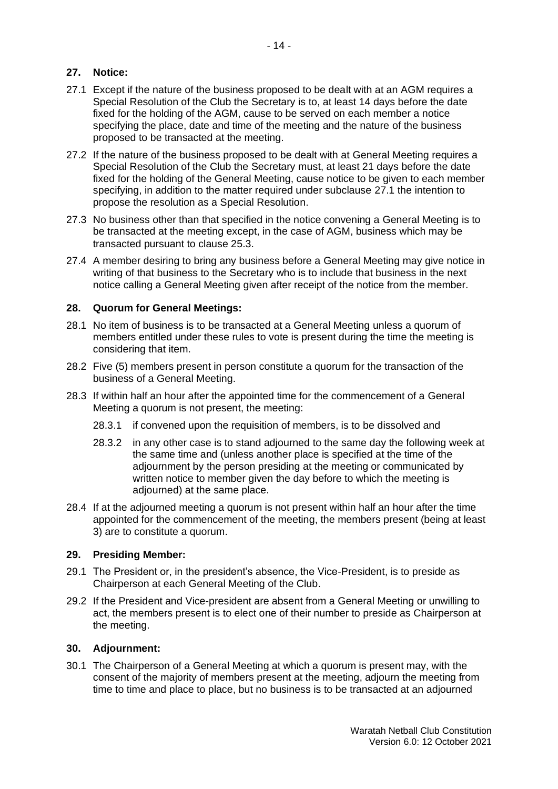# **27. Notice:**

- 27.1 Except if the nature of the business proposed to be dealt with at an AGM requires a Special Resolution of the Club the Secretary is to, at least 14 days before the date fixed for the holding of the AGM, cause to be served on each member a notice specifying the place, date and time of the meeting and the nature of the business proposed to be transacted at the meeting.
- 27.2 If the nature of the business proposed to be dealt with at General Meeting requires a Special Resolution of the Club the Secretary must, at least 21 days before the date fixed for the holding of the General Meeting, cause notice to be given to each member specifying, in addition to the matter required under subclause 27.1 the intention to propose the resolution as a Special Resolution.
- 27.3 No business other than that specified in the notice convening a General Meeting is to be transacted at the meeting except, in the case of AGM, business which may be transacted pursuant to clause 25.3.
- 27.4 A member desiring to bring any business before a General Meeting may give notice in writing of that business to the Secretary who is to include that business in the next notice calling a General Meeting given after receipt of the notice from the member.

### **28. Quorum for General Meetings:**

- 28.1 No item of business is to be transacted at a General Meeting unless a quorum of members entitled under these rules to vote is present during the time the meeting is considering that item.
- 28.2 Five (5) members present in person constitute a quorum for the transaction of the business of a General Meeting.
- 28.3 If within half an hour after the appointed time for the commencement of a General Meeting a quorum is not present, the meeting:
	- 28.3.1 if convened upon the requisition of members, is to be dissolved and
	- 28.3.2 in any other case is to stand adjourned to the same day the following week at the same time and (unless another place is specified at the time of the adjournment by the person presiding at the meeting or communicated by written notice to member given the day before to which the meeting is adjourned) at the same place.
- 28.4 If at the adjourned meeting a quorum is not present within half an hour after the time appointed for the commencement of the meeting, the members present (being at least 3) are to constitute a quorum.

### **29. Presiding Member:**

- 29.1 The President or, in the president's absence, the Vice-President, is to preside as Chairperson at each General Meeting of the Club.
- 29.2 If the President and Vice-president are absent from a General Meeting or unwilling to act, the members present is to elect one of their number to preside as Chairperson at the meeting.

### **30. Adjournment:**

30.1 The Chairperson of a General Meeting at which a quorum is present may, with the consent of the majority of members present at the meeting, adjourn the meeting from time to time and place to place, but no business is to be transacted at an adjourned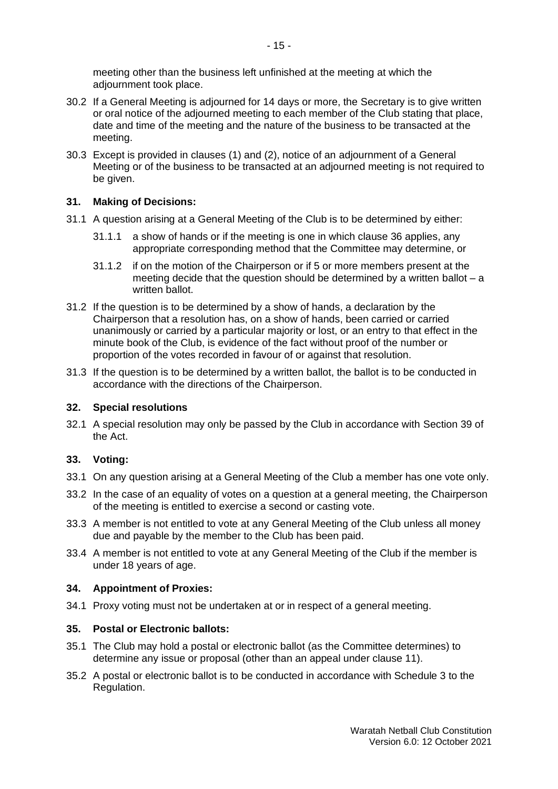meeting other than the business left unfinished at the meeting at which the adjournment took place.

- 30.2 If a General Meeting is adjourned for 14 days or more, the Secretary is to give written or oral notice of the adjourned meeting to each member of the Club stating that place, date and time of the meeting and the nature of the business to be transacted at the meeting.
- 30.3 Except is provided in clauses (1) and (2), notice of an adjournment of a General Meeting or of the business to be transacted at an adjourned meeting is not required to be given.

# **31. Making of Decisions:**

- 31.1 A question arising at a General Meeting of the Club is to be determined by either:
	- 31.1.1 a show of hands or if the meeting is one in which clause 36 applies, any appropriate corresponding method that the Committee may determine, or
	- 31.1.2 if on the motion of the Chairperson or if 5 or more members present at the meeting decide that the question should be determined by a written ballot  $- a$ written ballot.
- 31.2 If the question is to be determined by a show of hands, a declaration by the Chairperson that a resolution has, on a show of hands, been carried or carried unanimously or carried by a particular majority or lost, or an entry to that effect in the minute book of the Club, is evidence of the fact without proof of the number or proportion of the votes recorded in favour of or against that resolution.
- 31.3 If the question is to be determined by a written ballot, the ballot is to be conducted in accordance with the directions of the Chairperson.

### **32. Special resolutions**

32.1 A special resolution may only be passed by the Club in accordance with [Section 39](http://www.austlii.edu.au/au/legis/nsw/consol_act/aia2009307/s39.html) of [the Act.](http://www.austlii.edu.au/au/legis/nsw/consol_act/aia2009307/)

### **33. Voting:**

- 33.1 On any question arising at a General Meeting of the Club a member has one vote only.
- 33.2 In the case of an equality of votes on a question at a general meeting, the Chairperson of the meeting is entitled to exercise a second or casting vote.
- 33.3 A member is not entitled to vote at any General Meeting of the Club unless all money due and payable by the member to the Club has been paid.
- 33.4 A member is not entitled to vote at any General Meeting of the Club if the member is under 18 years of age.

### **34. Appointment of Proxies:**

34.1 Proxy voting must not be undertaken at or in respect of a general meeting.

### **35. Postal or Electronic ballots:**

- 35.1 The Club may hold a postal or electronic ballot (as the Committee determines) to determine any issue or proposal (other than an appeal under clause 11).
- 35.2 A postal or electronic ballot is to be conducted in accordance with Schedule 3 to the Regulation.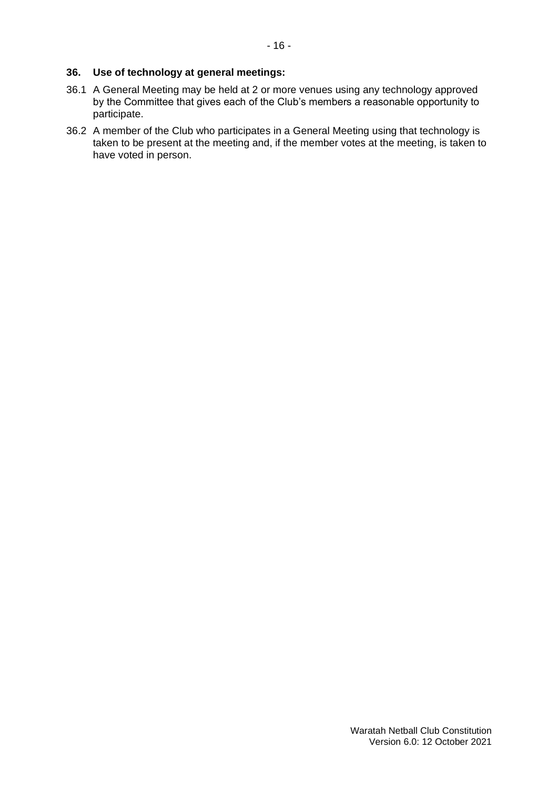### **36. Use of technology at general meetings:**

- 36.1 A General Meeting may be held at 2 or more venues using any technology approved by the Committee that gives each of the Club's members a reasonable opportunity to participate.
- 36.2 A member of the Club who participates in a General Meeting using that technology is taken to be present at the meeting and, if the member votes at the meeting, is taken to have voted in person.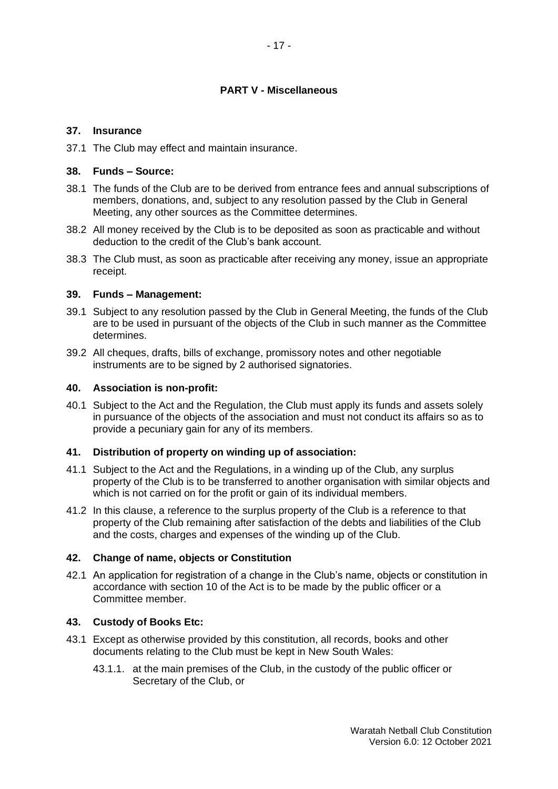# **PART V - Miscellaneous**

### **37. Insurance**

37.1 The Club may effect and maintain insurance.

### **38. Funds – Source:**

- 38.1 The funds of the Club are to be derived from entrance fees and annual subscriptions of members, donations, and, subject to any resolution passed by the Club in General Meeting, any other sources as the Committee determines.
- 38.2 All money received by the Club is to be deposited as soon as practicable and without deduction to the credit of the Club's bank account.
- 38.3 The Club must, as soon as practicable after receiving any money, issue an appropriate receipt.

### **39. Funds – Management:**

- 39.1 Subject to any resolution passed by the Club in General Meeting, the funds of the Club are to be used in pursuant of the objects of the Club in such manner as the Committee determines.
- 39.2 All cheques, drafts, bills of exchange, promissory notes and other negotiable instruments are to be signed by 2 authorised signatories.

### **40. Association is non-profit:**

40.1 Subject to the Act and the Regulation, the Club must apply its funds and assets solely in pursuance of the objects of the association and must not conduct its affairs so as to provide a pecuniary gain for any of its members.

### **41. Distribution of property on winding up of association:**

- 41.1 Subject to the Act and the Regulations, in a winding up of the Club, any surplus property of the Club is to be transferred to another organisation with similar objects and which is not carried on for the profit or gain of its individual members.
- 41.2 In this clause, a reference to the surplus property of the Club is a reference to that property of the Club remaining after satisfaction of the debts and liabilities of the Club and the costs, charges and expenses of the winding up of the Club.

### **42. Change of name, objects or Constitution**

42.1 An application for registration of a change in the Club's name, objects or constitution in accordance with section 10 of the Act is to be made by the public officer or a Committee member.

### **43. Custody of Books Etc:**

- 43.1 Except as otherwise provided by this constitution, all records, books and other documents relating to the Club must be kept in New South Wales:
	- 43.1.1. at the main premises of the Club, in the custody of the public officer or Secretary of the Club, or